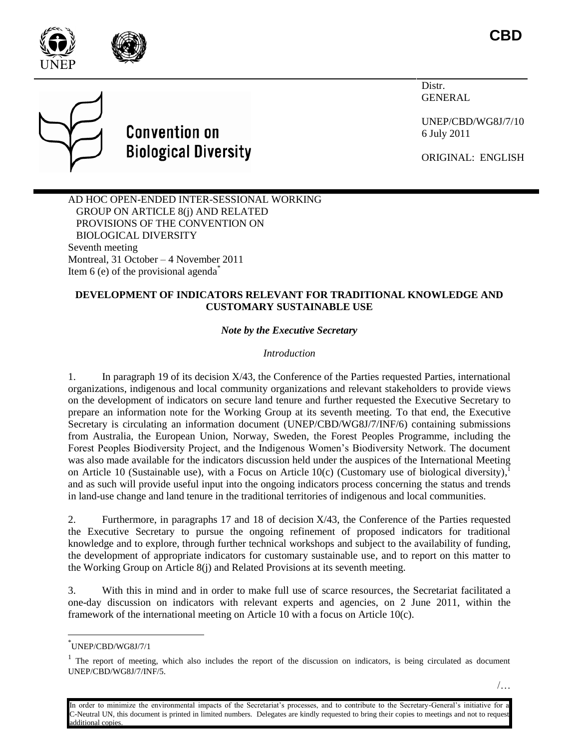

Distr. GENERAL

UNEP/CBD/WG8J/7/10 6 July 2011

ORIGINAL: ENGLISH





AD HOC OPEN-ENDED INTER-SESSIONAL WORKING GROUP ON ARTICLE 8(j) AND RELATED PROVISIONS OF THE CONVENTION ON BIOLOGICAL DIVERSITY Seventh meeting Montreal, 31 October – 4 November 2011 Item 6 (e) of the provisional agenda $*$ 

## **DEVELOPMENT OF INDICATORS RELEVANT FOR TRADITIONAL KNOWLEDGE AND CUSTOMARY SUSTAINABLE USE**

*Note by the Executive Secretary*

## *Introduction*

1. In paragraph 19 of its decision X/43, the Conference of the Parties requested Parties, international organizations, indigenous and local community organizations and relevant stakeholders to provide views on the development of indicators on secure land tenure and further requested the Executive Secretary to prepare an information note for the Working Group at its seventh meeting. To that end, the Executive Secretary is circulating an information document (UNEP/CBD/WG8J/7/INF/6) containing submissions from Australia, the European Union, Norway, Sweden, the Forest Peoples Programme, including the Forest Peoples Biodiversity Project, and the Indigenous Women's Biodiversity Network. The document was also made available for the indicators discussion held under the auspices of the International Meeting on Article 10 (Sustainable use), with a Focus on Article 10(c) (Customary use of biological diversity), and as such will provide useful input into the ongoing indicators process concerning the status and trends in land-use change and land tenure in the traditional territories of indigenous and local communities.

2. Furthermore, in paragraphs 17 and 18 of decision X/43, the Conference of the Parties requested the Executive Secretary to pursue the ongoing refinement of proposed indicators for traditional knowledge and to explore, through further technical workshops and subject to the availability of funding, the development of appropriate indicators for customary sustainable use, and to report on this matter to the Working Group on Article 8(j) and Related Provisions at its seventh meeting.

3. With this in mind and in order to make full use of scarce resources, the Secretariat facilitated a one-day discussion on indicators with relevant experts and agencies, on 2 June 2011, within the framework of the international meeting on Article 10 with a focus on Article 10(c).

l

<sup>\*</sup> UNEP/CBD/WG8J/7/1

 $<sup>1</sup>$  The report of meeting, which also includes the report of the discussion on indicators, is being circulated as document</sup> UNEP/CBD/WG8J/7/INF/5.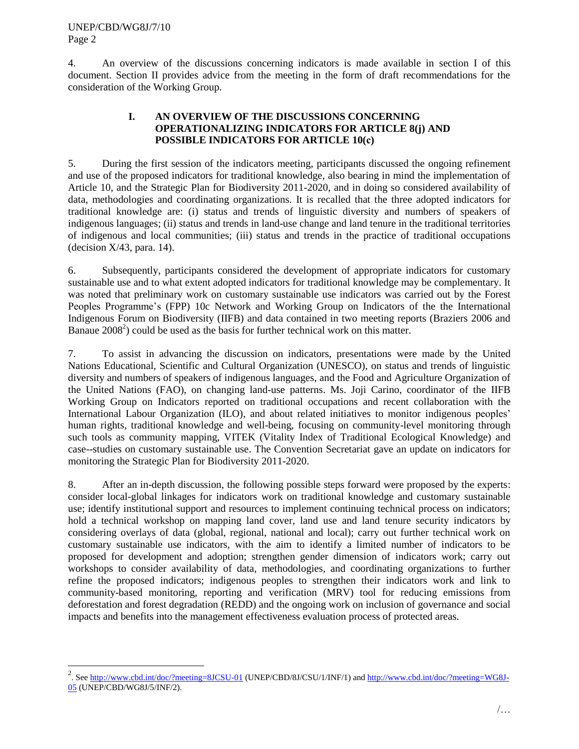$\overline{\phantom{a}}$ 

4. An overview of the discussions concerning indicators is made available in section I of this document. Section II provides advice from the meeting in the form of draft recommendations for the consideration of the Working Group.

## **I. AN OVERVIEW OF THE DISCUSSIONS CONCERNING OPERATIONALIZING INDICATORS FOR ARTICLE 8(j) AND POSSIBLE INDICATORS FOR ARTICLE 10(c)**

5. During the first session of the indicators meeting, participants discussed the ongoing refinement and use of the proposed indicators for traditional knowledge, also bearing in mind the implementation of Article 10, and the Strategic Plan for Biodiversity 2011-2020, and in doing so considered availability of data, methodologies and coordinating organizations. It is recalled that the three adopted indicators for traditional knowledge are: (i) status and trends of linguistic diversity and numbers of speakers of indigenous languages; (ii) status and trends in land-use change and land tenure in the traditional territories of indigenous and local communities; (iii) status and trends in the practice of traditional occupations (decision  $X/43$ , para. 14).

6. Subsequently, participants considered the development of appropriate indicators for customary sustainable use and to what extent adopted indicators for traditional knowledge may be complementary. It was noted that preliminary work on customary sustainable use indicators was carried out by the Forest Peoples Programme's (FPP) 10c Network and Working Group on Indicators of the the International Indigenous Forum on Biodiversity (IIFB) and data contained in two meeting reports (Braziers 2006 and Banaue 2008<sup>2</sup>) could be used as the basis for further technical work on this matter.

7. To assist in advancing the discussion on indicators, presentations were made by the United Nations Educational, Scientific and Cultural Organization (UNESCO), on status and trends of linguistic diversity and numbers of speakers of indigenous languages, and the Food and Agriculture Organization of the United Nations (FAO), on changing land-use patterns. Ms. Joji Carino, coordinator of the IIFB Working Group on Indicators reported on traditional occupations and recent collaboration with the International Labour Organization (ILO), and about related initiatives to monitor indigenous peoples' human rights, traditional knowledge and well-being, focusing on community-level monitoring through such tools as community mapping, VITEK (Vitality Index of Traditional Ecological Knowledge) and case--studies on customary sustainable use. The Convention Secretariat gave an update on indicators for monitoring the Strategic Plan for Biodiversity 2011-2020.

8. After an in-depth discussion, the following possible steps forward were proposed by the experts: consider local-global linkages for indicators work on traditional knowledge and customary sustainable use; identify institutional support and resources to implement continuing technical process on indicators; hold a technical workshop on mapping land cover, land use and land tenure security indicators by considering overlays of data (global, regional, national and local); carry out further technical work on customary sustainable use indicators, with the aim to identify a limited number of indicators to be proposed for development and adoption; strengthen gender dimension of indicators work; carry out workshops to consider availability of data, methodologies, and coordinating organizations to further refine the proposed indicators; indigenous peoples to strengthen their indicators work and link to community-based monitoring, reporting and verification (MRV) tool for reducing emissions from deforestation and forest degradation (REDD) and the ongoing work on inclusion of governance and social impacts and benefits into the management effectiveness evaluation process of protected areas.

<sup>&</sup>lt;sup>2</sup>. See <http://www.cbd.int/doc/?meeting=8JCSU-01> (UNEP/CBD/8J/CSU/1/INF/1) an[d http://www.cbd.int/doc/?meeting=WG8J-](http://www.cbd.int/doc/?meeting=WG8J-05)[05](http://www.cbd.int/doc/?meeting=WG8J-05) (UNEP/CBD/WG8J/5/INF/2).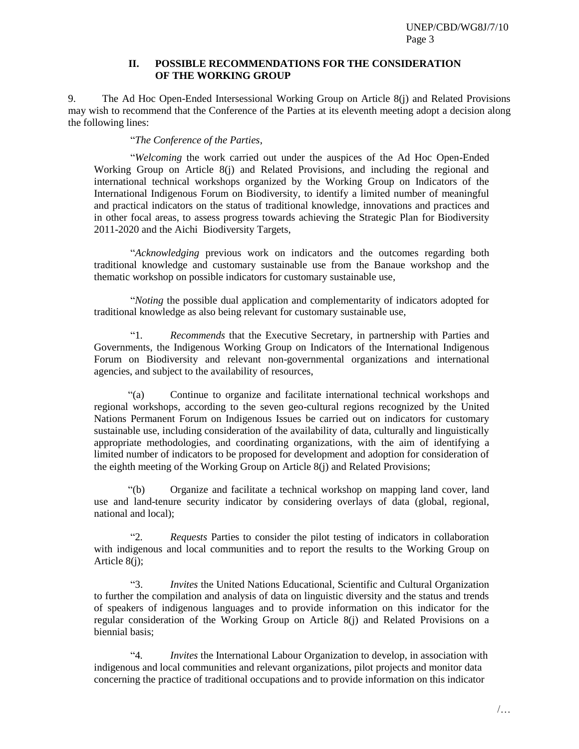## **II. POSSIBLE RECOMMENDATIONS FOR THE CONSIDERATION OF THE WORKING GROUP**

9. The Ad Hoc Open-Ended Intersessional Working Group on Article 8(j) and Related Provisions may wish to recommend that the Conference of the Parties at its eleventh meeting adopt a decision along the following lines:

"*The Conference of the Parties*,

"*Welcoming* the work carried out under the auspices of the Ad Hoc Open-Ended Working Group on Article 8(j) and Related Provisions, and including the regional and international technical workshops organized by the Working Group on Indicators of the International Indigenous Forum on Biodiversity, to identify a limited number of meaningful and practical indicators on the status of traditional knowledge, innovations and practices and in other focal areas, to assess progress towards achieving the Strategic Plan for Biodiversity 2011-2020 and the Aichi Biodiversity Targets,

"*Acknowledging* previous work on indicators and the outcomes regarding both traditional knowledge and customary sustainable use from the Banaue workshop and the thematic workshop on possible indicators for customary sustainable use,

"*Noting* the possible dual application and complementarity of indicators adopted for traditional knowledge as also being relevant for customary sustainable use,

"1*. Recommends* that the Executive Secretary, in partnership with Parties and Governments, the Indigenous Working Group on Indicators of the International Indigenous Forum on Biodiversity and relevant non-governmental organizations and international agencies, and subject to the availability of resources,

"(a) Continue to organize and facilitate international technical workshops and regional workshops, according to the seven geo-cultural regions recognized by the United Nations Permanent Forum on Indigenous Issues be carried out on indicators for customary sustainable use, including consideration of the availability of data, culturally and linguistically appropriate methodologies, and coordinating organizations, with the aim of identifying a limited number of indicators to be proposed for development and adoption for consideration of the eighth meeting of the Working Group on Article 8(j) and Related Provisions;

"(b) Organize and facilitate a technical workshop on mapping land cover, land use and land-tenure security indicator by considering overlays of data (global, regional, national and local);

"2*. Requests* Parties to consider the pilot testing of indicators in collaboration with indigenous and local communities and to report the results to the Working Group on Article 8(j);

"3. *Invites* the United Nations Educational, Scientific and Cultural Organization to further the compilation and analysis of data on linguistic diversity and the status and trends of speakers of indigenous languages and to provide information on this indicator for the regular consideration of the Working Group on Article 8(j) and Related Provisions on a biennial basis;

"4*. Invites* the International Labour Organization to develop, in association with indigenous and local communities and relevant organizations, pilot projects and monitor data concerning the practice of traditional occupations and to provide information on this indicator